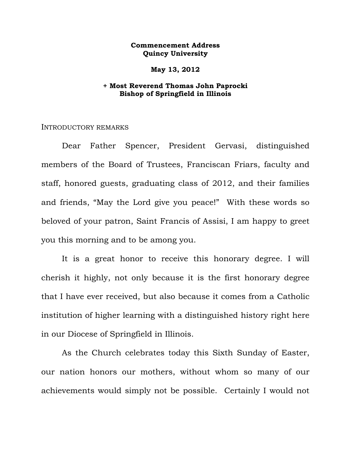## **Commencement Address Quincy University**

### **May 13, 2012**

# **+ Most Reverend Thomas John Paprocki Bishop of Springfield in Illinois**

#### INTRODUCTORY REMARKS

 Dear Father Spencer, President Gervasi, distinguished members of the Board of Trustees, Franciscan Friars, faculty and staff, honored guests, graduating class of 2012, and their families and friends, "May the Lord give you peace!" With these words so beloved of your patron, Saint Francis of Assisi, I am happy to greet you this morning and to be among you.

It is a great honor to receive this honorary degree. I will cherish it highly, not only because it is the first honorary degree that I have ever received, but also because it comes from a Catholic institution of higher learning with a distinguished history right here in our Diocese of Springfield in Illinois.

 As the Church celebrates today this Sixth Sunday of Easter, our nation honors our mothers, without whom so many of our achievements would simply not be possible. Certainly I would not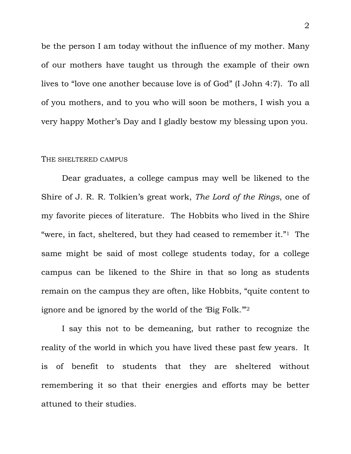be the person I am today without the influence of my mother. Many of our mothers have taught us through the example of their own lives to "love one another because love is of God" (I John 4:7). To all of you mothers, and to you who will soon be mothers, I wish you a very happy Mother's Day and I gladly bestow my blessing upon you.

#### THE SHELTERED CAMPUS

 Dear graduates, a college campus may well be likened to the Shire of J. R. R. Tolkien's great work, *The Lord of the Rings*, one of my favorite pieces of literature. The Hobbits who lived in the Shire "were, in fact, sheltered, but they had ceased to remember it." $1$  The same might be said of most college students today, for a college campus can be likened to the Shire in that so long as students remain on the campus they are often, like Hobbits, "quite content to ignore and be ignored by the world of the 'Big Folk.'"2

 I say this not to be demeaning, but rather to recognize the reality of the world in which you have lived these past few years. It is of benefit to students that they are sheltered without remembering it so that their energies and efforts may be better attuned to their studies.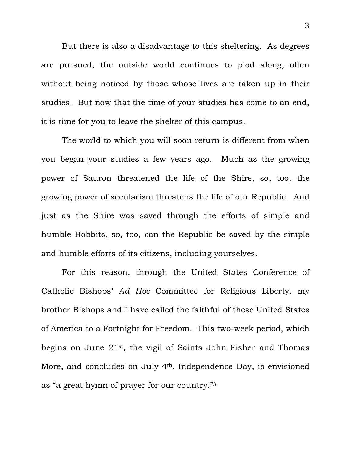But there is also a disadvantage to this sheltering. As degrees are pursued, the outside world continues to plod along, often without being noticed by those whose lives are taken up in their studies. But now that the time of your studies has come to an end, it is time for you to leave the shelter of this campus.

 The world to which you will soon return is different from when you began your studies a few years ago. Much as the growing power of Sauron threatened the life of the Shire, so, too, the growing power of secularism threatens the life of our Republic. And just as the Shire was saved through the efforts of simple and humble Hobbits, so, too, can the Republic be saved by the simple and humble efforts of its citizens, including yourselves.

 For this reason, through the United States Conference of Catholic Bishops' *Ad Hoc* Committee for Religious Liberty, my brother Bishops and I have called the faithful of these United States of America to a Fortnight for Freedom. This two-week period, which begins on June 21st, the vigil of Saints John Fisher and Thomas More, and concludes on July 4th, Independence Day, is envisioned as "a great hymn of prayer for our country."3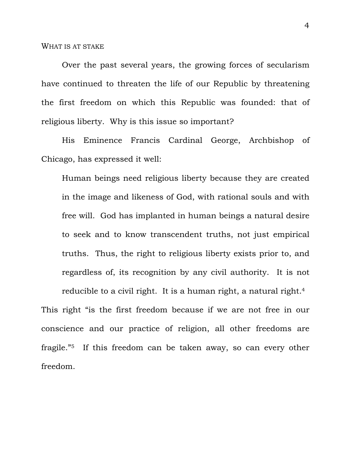Over the past several years, the growing forces of secularism have continued to threaten the life of our Republic by threatening the first freedom on which this Republic was founded: that of religious liberty. Why is this issue so important?

His Eminence Francis Cardinal George, Archbishop of Chicago, has expressed it well:

Human beings need religious liberty because they are created in the image and likeness of God, with rational souls and with free will. God has implanted in human beings a natural desire to seek and to know transcendent truths, not just empirical truths. Thus, the right to religious liberty exists prior to, and regardless of, its recognition by any civil authority. It is not reducible to a civil right. It is a human right, a natural right.<sup>4</sup>

This right "is the first freedom because if we are not free in our conscience and our practice of religion, all other freedoms are fragile."5 If this freedom can be taken away, so can every other freedom.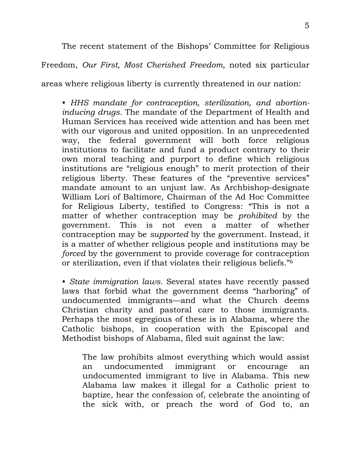The recent statement of the Bishops' Committee for Religious Freedom, *Our First, Most Cherished Freedom*, noted six particular

areas where religious liberty is currently threatened in our nation:

• *HHS mandate for contraception, sterilization, and abortioninducing drugs.* The mandate of the Department of Health and Human Services has received wide attention and has been met with our vigorous and united opposition. In an unprecedented way, the federal government will both force religious institutions to facilitate and fund a product contrary to their own moral teaching and purport to define which religious institutions are "religious enough" to merit protection of their religious liberty. These features of the "preventive services" mandate amount to an unjust law. As Archbishop-designate William Lori of Baltimore, Chairman of the Ad Hoc Committee for Religious Liberty, testified to Congress: "This is not a matter of whether contraception may be *prohibited* by the government. This is not even a matter of whether contraception may be *supported* by the government. Instead, it is a matter of whether religious people and institutions may be *forced* by the government to provide coverage for contraception or sterilization, even if that violates their religious beliefs."6

• *State immigration laws.* Several states have recently passed laws that forbid what the government deems "harboring" of undocumented immigrants—and what the Church deems Christian charity and pastoral care to those immigrants. Perhaps the most egregious of these is in Alabama, where the Catholic bishops, in cooperation with the Episcopal and Methodist bishops of Alabama, filed suit against the law:

The law prohibits almost everything which would assist an undocumented immigrant or encourage an undocumented immigrant to live in Alabama. This new Alabama law makes it illegal for a Catholic priest to baptize, hear the confession of, celebrate the anointing of the sick with, or preach the word of God to, an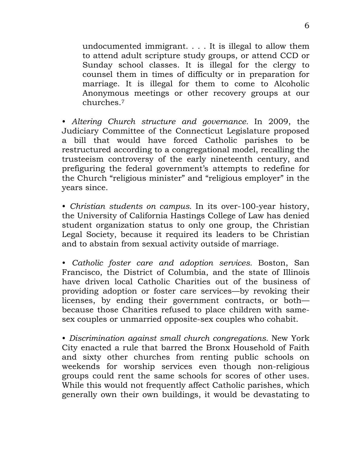undocumented immigrant. . . . It is illegal to allow them to attend adult scripture study groups, or attend CCD or Sunday school classes. It is illegal for the clergy to counsel them in times of difficulty or in preparation for marriage. It is illegal for them to come to Alcoholic Anonymous meetings or other recovery groups at our churches.7

• *Altering Church structure and governance.* In 2009, the Judiciary Committee of the Connecticut Legislature proposed a bill that would have forced Catholic parishes to be restructured according to a congregational model, recalling the trusteeism controversy of the early nineteenth century, and prefiguring the federal government's attempts to redefine for the Church "religious minister" and "religious employer" in the years since.

• *Christian students on campus.* In its over-100-year history, the University of California Hastings College of Law has denied student organization status to only one group, the Christian Legal Society, because it required its leaders to be Christian and to abstain from sexual activity outside of marriage.

• *Catholic foster care and adoption services.* Boston, San Francisco, the District of Columbia, and the state of Illinois have driven local Catholic Charities out of the business of providing adoption or foster care services—by revoking their licenses, by ending their government contracts, or both because those Charities refused to place children with samesex couples or unmarried opposite-sex couples who cohabit.

• *Discrimination against small church congregations.* New York City enacted a rule that barred the Bronx Household of Faith and sixty other churches from renting public schools on weekends for worship services even though non-religious groups could rent the same schools for scores of other uses. While this would not frequently affect Catholic parishes, which generally own their own buildings, it would be devastating to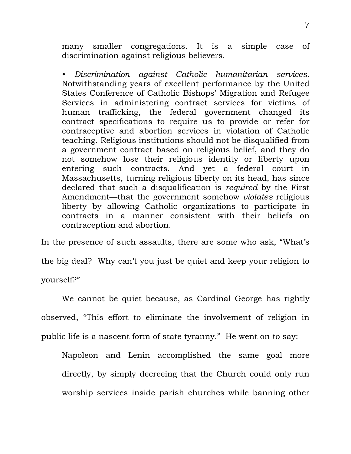many smaller congregations. It is a simple case of discrimination against religious believers.

• *Discrimination against Catholic humanitarian services.*  Notwithstanding years of excellent performance by the United States Conference of Catholic Bishops' Migration and Refugee Services in administering contract services for victims of human trafficking, the federal government changed its contract specifications to require us to provide or refer for contraceptive and abortion services in violation of Catholic teaching. Religious institutions should not be disqualified from a government contract based on religious belief, and they do not somehow lose their religious identity or liberty upon entering such contracts. And yet a federal court in Massachusetts, turning religious liberty on its head, has since declared that such a disqualification is *required* by the First Amendment—that the government somehow *violates* religious liberty by allowing Catholic organizations to participate in contracts in a manner consistent with their beliefs on contraception and abortion.

In the presence of such assaults, there are some who ask, "What's the big deal? Why can't you just be quiet and keep your religion to yourself?"

 We cannot be quiet because, as Cardinal George has rightly observed, "This effort to eliminate the involvement of religion in public life is a nascent form of state tyranny." He went on to say:

Napoleon and Lenin accomplished the same goal more directly, by simply decreeing that the Church could only run worship services inside parish churches while banning other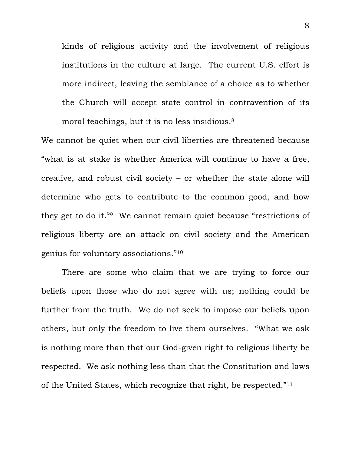kinds of religious activity and the involvement of religious institutions in the culture at large. The current U.S. effort is more indirect, leaving the semblance of a choice as to whether the Church will accept state control in contravention of its moral teachings, but it is no less insidious.<sup>8</sup>

We cannot be quiet when our civil liberties are threatened because "what is at stake is whether America will continue to have a free, creative, and robust civil society – or whether the state alone will determine who gets to contribute to the common good, and how they get to do it."9 We cannot remain quiet because "restrictions of religious liberty are an attack on civil society and the American genius for voluntary associations."10

 There are some who claim that we are trying to force our beliefs upon those who do not agree with us; nothing could be further from the truth. We do not seek to impose our beliefs upon others, but only the freedom to live them ourselves. "What we ask is nothing more than that our God-given right to religious liberty be respected. We ask nothing less than that the Constitution and laws of the United States, which recognize that right, be respected."11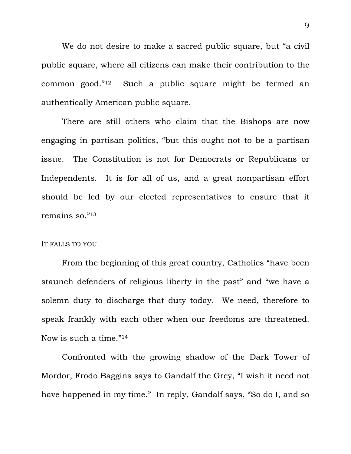We do not desire to make a sacred public square, but "a civil public square, where all citizens can make their contribution to the common good."12 Such a public square might be termed an authentically American public square.

There are still others who claim that the Bishops are now engaging in partisan politics, "but this ought not to be a partisan issue. The Constitution is not for Democrats or Republicans or Independents. It is for all of us, and a great nonpartisan effort should be led by our elected representatives to ensure that it remains so."13

## IT FALLS TO YOU

 From the beginning of this great country, Catholics "have been staunch defenders of religious liberty in the past" and "we have a solemn duty to discharge that duty today. We need, therefore to speak frankly with each other when our freedoms are threatened. Now is such a time."14

 Confronted with the growing shadow of the Dark Tower of Mordor, Frodo Baggins says to Gandalf the Grey, "I wish it need not have happened in my time." In reply, Gandalf says, "So do I, and so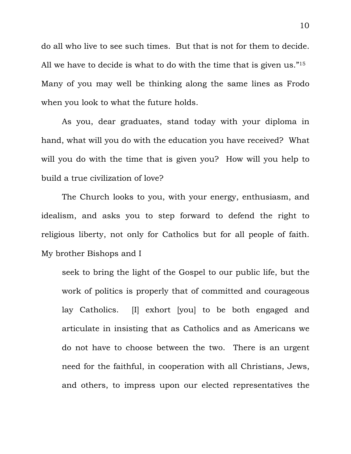do all who live to see such times. But that is not for them to decide. All we have to decide is what to do with the time that is given us."<sup>15</sup> Many of you may well be thinking along the same lines as Frodo when you look to what the future holds.

 As you, dear graduates, stand today with your diploma in hand, what will you do with the education you have received? What will you do with the time that is given you? How will you help to build a true civilization of love?

 The Church looks to you, with your energy, enthusiasm, and idealism, and asks you to step forward to defend the right to religious liberty, not only for Catholics but for all people of faith. My brother Bishops and I

seek to bring the light of the Gospel to our public life, but the work of politics is properly that of committed and courageous lay Catholics. [I] exhort [you] to be both engaged and articulate in insisting that as Catholics and as Americans we do not have to choose between the two. There is an urgent need for the faithful, in cooperation with all Christians, Jews, and others, to impress upon our elected representatives the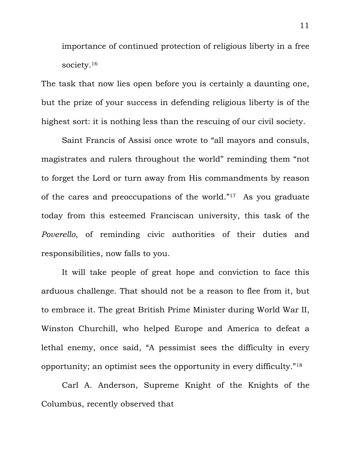importance of continued protection of religious liberty in a free society.<sup>16</sup>

The task that now lies open before you is certainly a daunting one, but the prize of your success in defending religious liberty is of the highest sort: it is nothing less than the rescuing of our civil society.

 Saint Francis of Assisi once wrote to "all mayors and consuls, magistrates and rulers throughout the world" reminding them "not to forget the Lord or turn away from His commandments by reason of the cares and preoccupations of the world."17 As you graduate today from this esteemed Franciscan university, this task of the *Poverello*, of reminding civic authorities of their duties and responsibilities, now falls to you.

It will take people of great hope and conviction to face this arduous challenge. That should not be a reason to flee from it, but to embrace it. The great British Prime Minister during World War II, Winston Churchill, who helped Europe and America to defeat a lethal enemy, once said, "A pessimist sees the difficulty in every opportunity; an optimist sees the opportunity in every difficulty."18

Carl A. Anderson, Supreme Knight of the Knights of the Columbus, recently observed that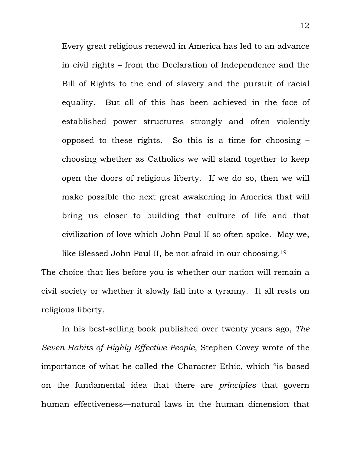Every great religious renewal in America has led to an advance in civil rights – from the Declaration of Independence and the Bill of Rights to the end of slavery and the pursuit of racial equality. But all of this has been achieved in the face of established power structures strongly and often violently opposed to these rights. So this is a time for choosing – choosing whether as Catholics we will stand together to keep open the doors of religious liberty. If we do so, then we will make possible the next great awakening in America that will bring us closer to building that culture of life and that civilization of love which John Paul II so often spoke. May we,

like Blessed John Paul II, be not afraid in our choosing.<sup>19</sup> The choice that lies before you is whether our nation will remain a civil society or whether it slowly fall into a tyranny. It all rests on religious liberty.

 In his best-selling book published over twenty years ago, *The Seven Habits of Highly Effective People*, Stephen Covey wrote of the importance of what he called the Character Ethic, which "is based on the fundamental idea that there are *principles* that govern human effectiveness—natural laws in the human dimension that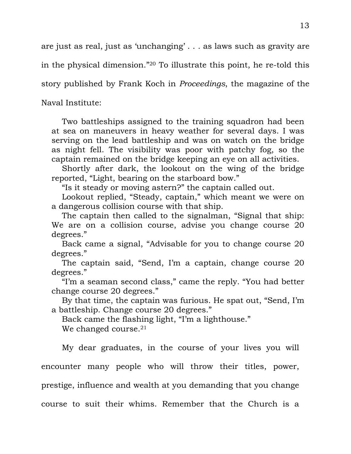are just as real, just as 'unchanging' . . . as laws such as gravity are in the physical dimension."20 To illustrate this point, he re-told this

story published by Frank Koch in *Proceedings*, the magazine of the

Naval Institute:

 Two battleships assigned to the training squadron had been at sea on maneuvers in heavy weather for several days. I was serving on the lead battleship and was on watch on the bridge as night fell. The visibility was poor with patchy fog, so the captain remained on the bridge keeping an eye on all activities.

 Shortly after dark, the lookout on the wing of the bridge reported, "Light, bearing on the starboard bow."

"Is it steady or moving astern?" the captain called out.

 Lookout replied, "Steady, captain," which meant we were on a dangerous collision course with that ship.

 The captain then called to the signalman, "Signal that ship: We are on a collision course, advise you change course 20 degrees."

 Back came a signal, "Advisable for you to change course 20 degrees."

 The captain said, "Send, I'm a captain, change course 20 degrees."

 "I'm a seaman second class," came the reply. "You had better change course 20 degrees."

 By that time, the captain was furious. He spat out, "Send, I'm a battleship. Change course 20 degrees."

 Back came the flashing light, "I'm a lighthouse." We changed course.<sup>21</sup>

 My dear graduates, in the course of your lives you will encounter many people who will throw their titles, power, prestige, influence and wealth at you demanding that you change course to suit their whims. Remember that the Church is a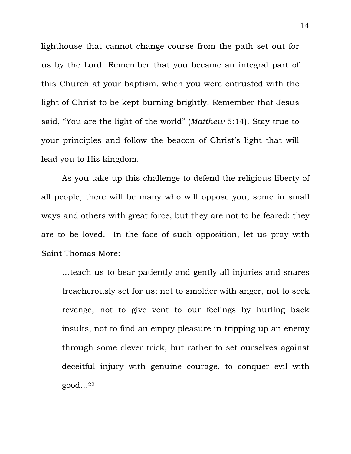lighthouse that cannot change course from the path set out for us by the Lord. Remember that you became an integral part of this Church at your baptism, when you were entrusted with the light of Christ to be kept burning brightly. Remember that Jesus said, "You are the light of the world" (*Matthew* 5:14). Stay true to your principles and follow the beacon of Christ's light that will lead you to His kingdom.

 As you take up this challenge to defend the religious liberty of all people, there will be many who will oppose you, some in small ways and others with great force, but they are not to be feared; they are to be loved. In the face of such opposition, let us pray with Saint Thomas More:

…teach us to bear patiently and gently all injuries and snares treacherously set for us; not to smolder with anger, not to seek revenge, not to give vent to our feelings by hurling back insults, not to find an empty pleasure in tripping up an enemy through some clever trick, but rather to set ourselves against deceitful injury with genuine courage, to conquer evil with good…22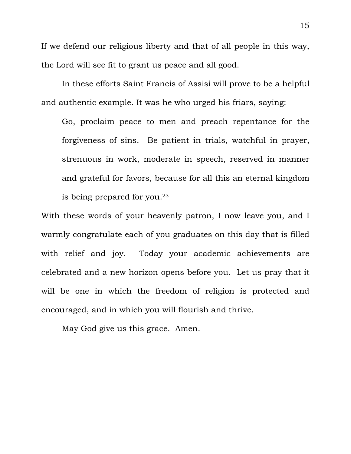If we defend our religious liberty and that of all people in this way, the Lord will see fit to grant us peace and all good.

 In these efforts Saint Francis of Assisi will prove to be a helpful and authentic example. It was he who urged his friars, saying:

Go, proclaim peace to men and preach repentance for the forgiveness of sins. Be patient in trials, watchful in prayer, strenuous in work, moderate in speech, reserved in manner and grateful for favors, because for all this an eternal kingdom is being prepared for you.<sup>23</sup>

With these words of your heavenly patron, I now leave you, and I warmly congratulate each of you graduates on this day that is filled with relief and joy. Today your academic achievements are celebrated and a new horizon opens before you. Let us pray that it will be one in which the freedom of religion is protected and encouraged, and in which you will flourish and thrive.

May God give us this grace. Amen.